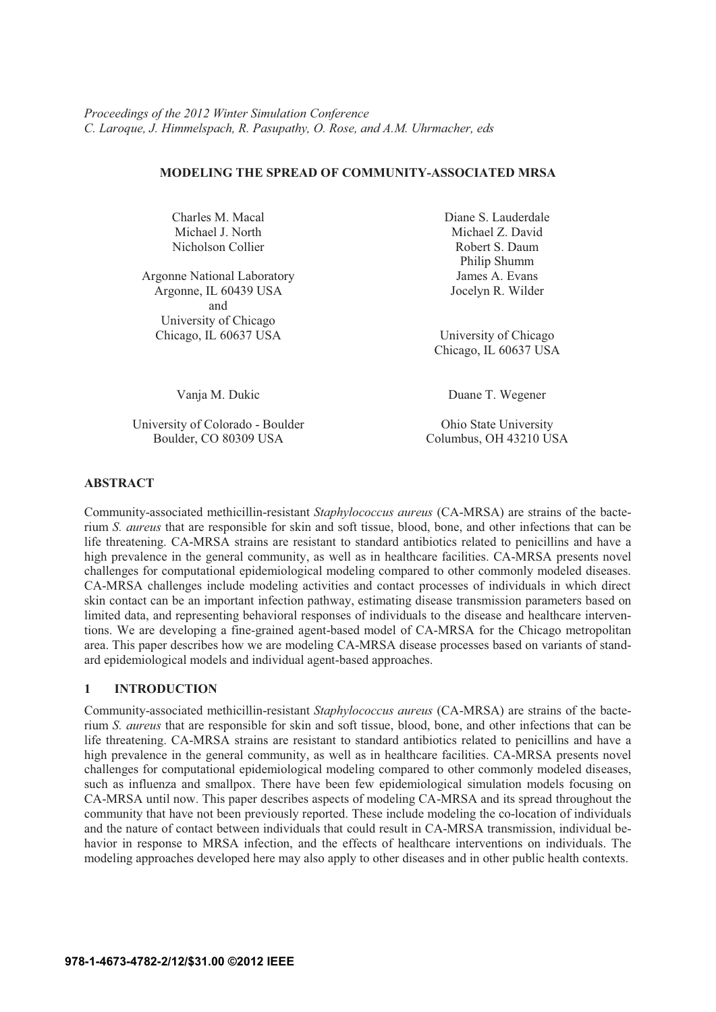# **MODELING THE SPREAD OF COMMUNITY-ASSOCIATED MRSA**

Charles M. Macal Michael J. North Nicholson Collier

Argonne National Laboratory Argonne, IL 60439 USA and University of Chicago Chicago, IL 60637 USA University of Chicago

University of Colorado - Boulder **Ohio State University** Boulder, CO 80309 USA Columbus, OH 43210 USA

Diane S. Lauderdale Michael Z. David Robert S. Daum Philip Shumm James A. Evans Jocelyn R. Wilder

Chicago, IL 60637 USA

Vanja M. Dukic Duane T. Wegener

## **ABSTRACT**

Community-associated methicillin-resistant *Staphylococcus aureus* (CA-MRSA) are strains of the bacterium *S. aureus* that are responsible for skin and soft tissue, blood, bone, and other infections that can be life threatening. CA-MRSA strains are resistant to standard antibiotics related to penicillins and have a high prevalence in the general community, as well as in healthcare facilities. CA-MRSA presents novel challenges for computational epidemiological modeling compared to other commonly modeled diseases. CA-MRSA challenges include modeling activities and contact processes of individuals in which direct skin contact can be an important infection pathway, estimating disease transmission parameters based on limited data, and representing behavioral responses of individuals to the disease and healthcare interventions. We are developing a fine-grained agent-based model of CA-MRSA for the Chicago metropolitan area. This paper describes how we are modeling CA-MRSA disease processes based on variants of standard epidemiological models and individual agent-based approaches.

# **1 INTRODUCTION**

Community-associated methicillin-resistant *Staphylococcus aureus* (CA-MRSA) are strains of the bacterium *S. aureus* that are responsible for skin and soft tissue, blood, bone, and other infections that can be life threatening. CA-MRSA strains are resistant to standard antibiotics related to penicillins and have a high prevalence in the general community, as well as in healthcare facilities. CA-MRSA presents novel challenges for computational epidemiological modeling compared to other commonly modeled diseases, such as influenza and smallpox. There have been few epidemiological simulation models focusing on CA-MRSA until now. This paper describes aspects of modeling CA-MRSA and its spread throughout the community that have not been previously reported. These include modeling the co-location of individuals and the nature of contact between individuals that could result in CA-MRSA transmission, individual behavior in response to MRSA infection, and the effects of healthcare interventions on individuals. The modeling approaches developed here may also apply to other diseases and in other public health contexts.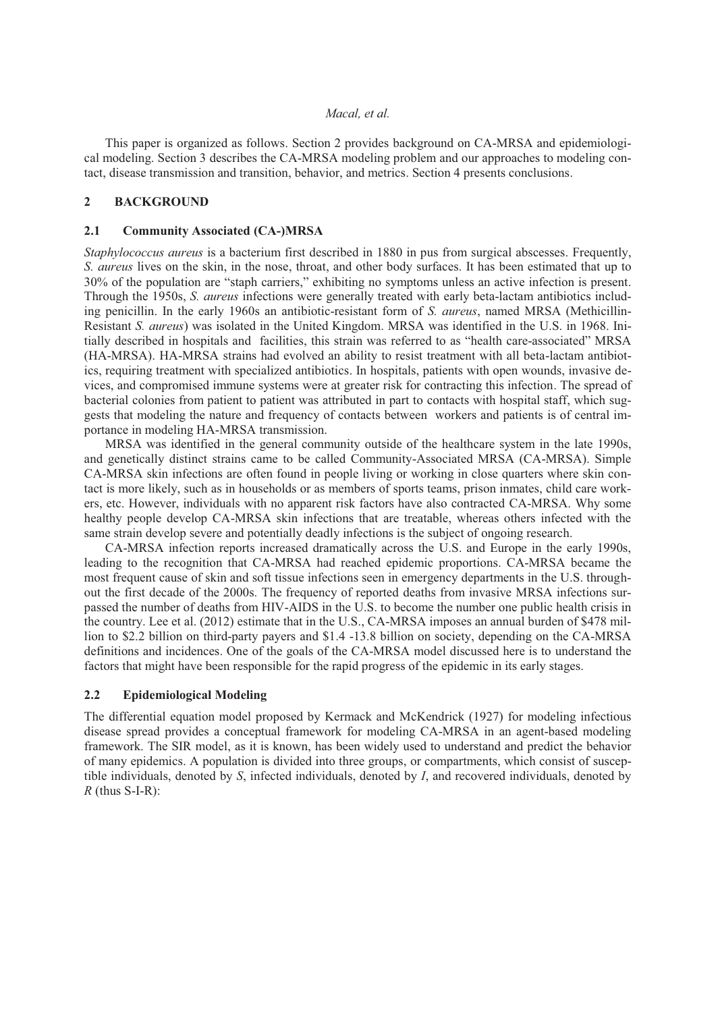This paper is organized as follows. Section 2 provides background on CA-MRSA and epidemiological modeling. Section 3 describes the CA-MRSA modeling problem and our approaches to modeling contact, disease transmission and transition, behavior, and metrics. Section 4 presents conclusions.

### **2 BACKGROUND**

## **2.1 Community Associated (CA-)MRSA**

*Staphylococcus aureus* is a bacterium first described in 1880 in pus from surgical abscesses. Frequently, *S. aureus* lives on the skin, in the nose, throat, and other body surfaces. It has been estimated that up to 30% of the population are "staph carriers," exhibiting no symptoms unless an active infection is present. Through the 1950s, *S. aureus* infections were generally treated with early beta-lactam antibiotics including penicillin. In the early 1960s an antibiotic-resistant form of *S. aureus*, named MRSA (Methicillin-Resistant *S. aureus*) was isolated in the United Kingdom. MRSA was identified in the U.S. in 1968. Initially described in hospitals and facilities, this strain was referred to as "health care-associated" MRSA (HA-MRSA). HA-MRSA strains had evolved an ability to resist treatment with all beta-lactam antibiotics, requiring treatment with specialized antibiotics. In hospitals, patients with open wounds, invasive devices, and compromised immune systems were at greater risk for contracting this infection. The spread of bacterial colonies from patient to patient was attributed in part to contacts with hospital staff, which suggests that modeling the nature and frequency of contacts between workers and patients is of central importance in modeling HA-MRSA transmission.

MRSA was identified in the general community outside of the healthcare system in the late 1990s, and genetically distinct strains came to be called Community-Associated MRSA (CA-MRSA). Simple CA-MRSA skin infections are often found in people living or working in close quarters where skin contact is more likely, such as in households or as members of sports teams, prison inmates, child care workers, etc. However, individuals with no apparent risk factors have also contracted CA-MRSA. Why some healthy people develop CA-MRSA skin infections that are treatable, whereas others infected with the same strain develop severe and potentially deadly infections is the subject of ongoing research.

CA-MRSA infection reports increased dramatically across the U.S. and Europe in the early 1990s, leading to the recognition that CA-MRSA had reached epidemic proportions. CA-MRSA became the most frequent cause of skin and soft tissue infections seen in emergency departments in the U.S. throughout the first decade of the 2000s. The frequency of reported deaths from invasive MRSA infections surpassed the number of deaths from HIV-AIDS in the U.S. to become the number one public health crisis in the country. Lee et al. (2012) estimate that in the U.S., CA-MRSA imposes an annual burden of \$478 million to \$2.2 billion on third-party payers and \$1.4 -13.8 billion on society, depending on the CA-MRSA definitions and incidences. One of the goals of the CA-MRSA model discussed here is to understand the factors that might have been responsible for the rapid progress of the epidemic in its early stages.

#### **2.2 Epidemiological Modeling**

The differential equation model proposed by Kermack and McKendrick (1927) for modeling infectious disease spread provides a conceptual framework for modeling CA-MRSA in an agent-based modeling framework. The SIR model, as it is known, has been widely used to understand and predict the behavior of many epidemics. A population is divided into three groups, or compartments, which consist of susceptible individuals, denoted by *S*, infected individuals, denoted by *I*, and recovered individuals, denoted by *R* (thus S-I-R):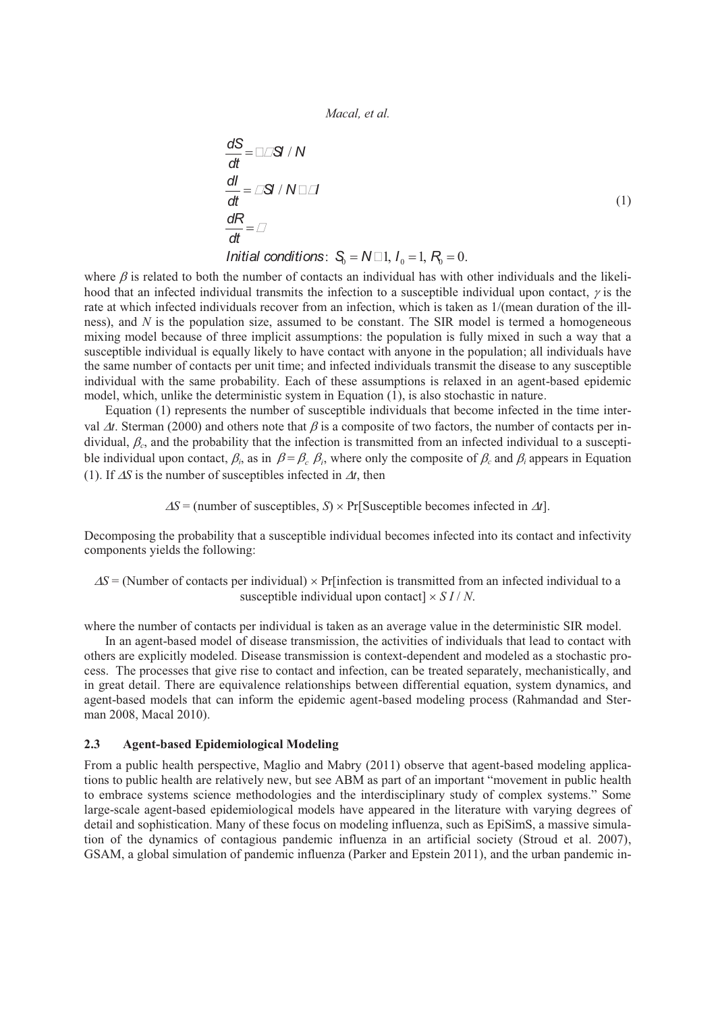$$
\frac{dS}{dt} = S/N
$$
\n
$$
\frac{dI}{dt} = S/N
$$
\n
$$
\frac{dR}{dt} =
$$
\n
$$
Initial conditions: S_0 = N \quad 1, I_0 = 1, R_0 = 0.
$$
\n(1)

where  $\beta$  is related to both the number of contacts an individual has with other individuals and the likelihood that an infected individual transmits the infection to a susceptible individual upon contact,  $\gamma$  is the rate at which infected individuals recover from an infection, which is taken as 1/(mean duration of the illness), and *N* is the population size, assumed to be constant. The SIR model is termed a homogeneous mixing model because of three implicit assumptions: the population is fully mixed in such a way that a susceptible individual is equally likely to have contact with anyone in the population; all individuals have the same number of contacts per unit time; and infected individuals transmit the disease to any susceptible individual with the same probability. Each of these assumptions is relaxed in an agent-based epidemic model, which, unlike the deterministic system in Equation (1), is also stochastic in nature.

Equation (1) represents the number of susceptible individuals that become infected in the time interval  $\Delta t$ . Sterman (2000) and others note that  $\beta$  is a composite of two factors, the number of contacts per individual,  $\beta_c$ , and the probability that the infection is transmitted from an infected individual to a susceptible individual upon contact,  $\beta_i$ , as in  $\beta = \beta_c$ ,  $\beta_i$ , where only the composite of  $\beta_c$  and  $\beta_i$  appears in Equation (1). If  $\Delta S$  is the number of susceptibles infected in  $\Delta t$ , then

 $\Delta S$  = (number of susceptibles, *S*) × Pr[Susceptible becomes infected in  $\Delta t$ ].

Decomposing the probability that a susceptible individual becomes infected into its contact and infectivity components yields the following:

 $\Delta S$  = (Number of contacts per individual)  $\times$  Pr[infection is transmitted from an infected individual to a susceptible individual upon contact  $\times$  *S I* / *N*.

where the number of contacts per individual is taken as an average value in the deterministic SIR model.

In an agent-based model of disease transmission, the activities of individuals that lead to contact with others are explicitly modeled. Disease transmission is context-dependent and modeled as a stochastic process. The processes that give rise to contact and infection, can be treated separately, mechanistically, and in great detail. There are equivalence relationships between differential equation, system dynamics, and agent-based models that can inform the epidemic agent-based modeling process (Rahmandad and Sterman 2008, Macal 2010).

## **2.3 Agent-based Epidemiological Modeling**

From a public health perspective, Maglio and Mabry (2011) observe that agent-based modeling applications to public health are relatively new, but see ABM as part of an important "movement in public health to embrace systems science methodologies and the interdisciplinary study of complex systems." Some large-scale agent-based epidemiological models have appeared in the literature with varying degrees of detail and sophistication. Many of these focus on modeling influenza, such as EpiSimS, a massive simulation of the dynamics of contagious pandemic influenza in an artificial society (Stroud et al. 2007), GSAM, a global simulation of pandemic influenza (Parker and Epstein 2011), and the urban pandemic in-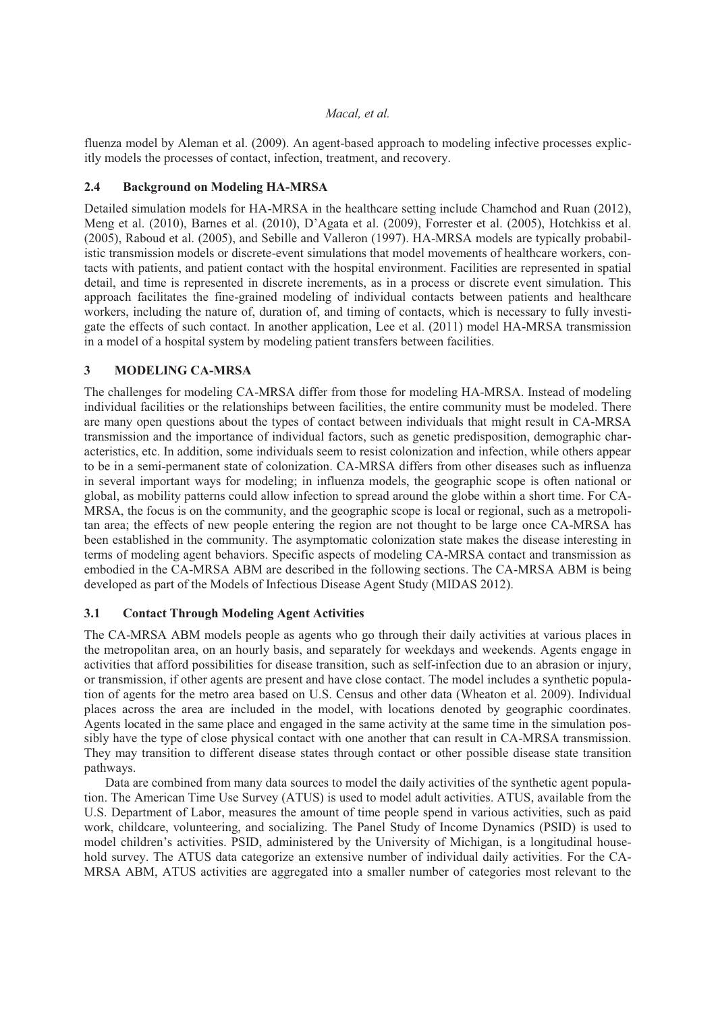fluenza model by Aleman et al. (2009). An agent-based approach to modeling infective processes explicitly models the processes of contact, infection, treatment, and recovery.

## **2.4 Background on Modeling HA-MRSA**

Detailed simulation models for HA-MRSA in the healthcare setting include Chamchod and Ruan (2012), Meng et al. (2010), Barnes et al. (2010), D'Agata et al. (2009), Forrester et al. (2005), Hotchkiss et al. (2005), Raboud et al. (2005), and Sebille and Valleron (1997). HA-MRSA models are typically probabilistic transmission models or discrete-event simulations that model movements of healthcare workers, contacts with patients, and patient contact with the hospital environment. Facilities are represented in spatial detail, and time is represented in discrete increments, as in a process or discrete event simulation. This approach facilitates the fine-grained modeling of individual contacts between patients and healthcare workers, including the nature of, duration of, and timing of contacts, which is necessary to fully investigate the effects of such contact. In another application, Lee et al. (2011) model HA-MRSA transmission in a model of a hospital system by modeling patient transfers between facilities.

# **3 MODELING CA-MRSA**

The challenges for modeling CA-MRSA differ from those for modeling HA-MRSA. Instead of modeling individual facilities or the relationships between facilities, the entire community must be modeled. There are many open questions about the types of contact between individuals that might result in CA-MRSA transmission and the importance of individual factors, such as genetic predisposition, demographic characteristics, etc. In addition, some individuals seem to resist colonization and infection, while others appear to be in a semi-permanent state of colonization. CA-MRSA differs from other diseases such as influenza in several important ways for modeling; in influenza models, the geographic scope is often national or global, as mobility patterns could allow infection to spread around the globe within a short time. For CA-MRSA, the focus is on the community, and the geographic scope is local or regional, such as a metropolitan area; the effects of new people entering the region are not thought to be large once CA-MRSA has been established in the community. The asymptomatic colonization state makes the disease interesting in terms of modeling agent behaviors. Specific aspects of modeling CA-MRSA contact and transmission as embodied in the CA-MRSA ABM are described in the following sections. The CA-MRSA ABM is being developed as part of the Models of Infectious Disease Agent Study (MIDAS 2012).

### **3.1 Contact Through Modeling Agent Activities**

The CA-MRSA ABM models people as agents who go through their daily activities at various places in the metropolitan area, on an hourly basis, and separately for weekdays and weekends. Agents engage in activities that afford possibilities for disease transition, such as self-infection due to an abrasion or injury, or transmission, if other agents are present and have close contact. The model includes a synthetic population of agents for the metro area based on U.S. Census and other data (Wheaton et al. 2009). Individual places across the area are included in the model, with locations denoted by geographic coordinates. Agents located in the same place and engaged in the same activity at the same time in the simulation possibly have the type of close physical contact with one another that can result in CA-MRSA transmission. They may transition to different disease states through contact or other possible disease state transition pathways.

Data are combined from many data sources to model the daily activities of the synthetic agent population. The American Time Use Survey (ATUS) is used to model adult activities. ATUS, available from the U.S. Department of Labor, measures the amount of time people spend in various activities, such as paid work, childcare, volunteering, and socializing. The Panel Study of Income Dynamics (PSID) is used to model children's activities. PSID, administered by the University of Michigan, is a longitudinal household survey. The ATUS data categorize an extensive number of individual daily activities. For the CA-MRSA ABM, ATUS activities are aggregated into a smaller number of categories most relevant to the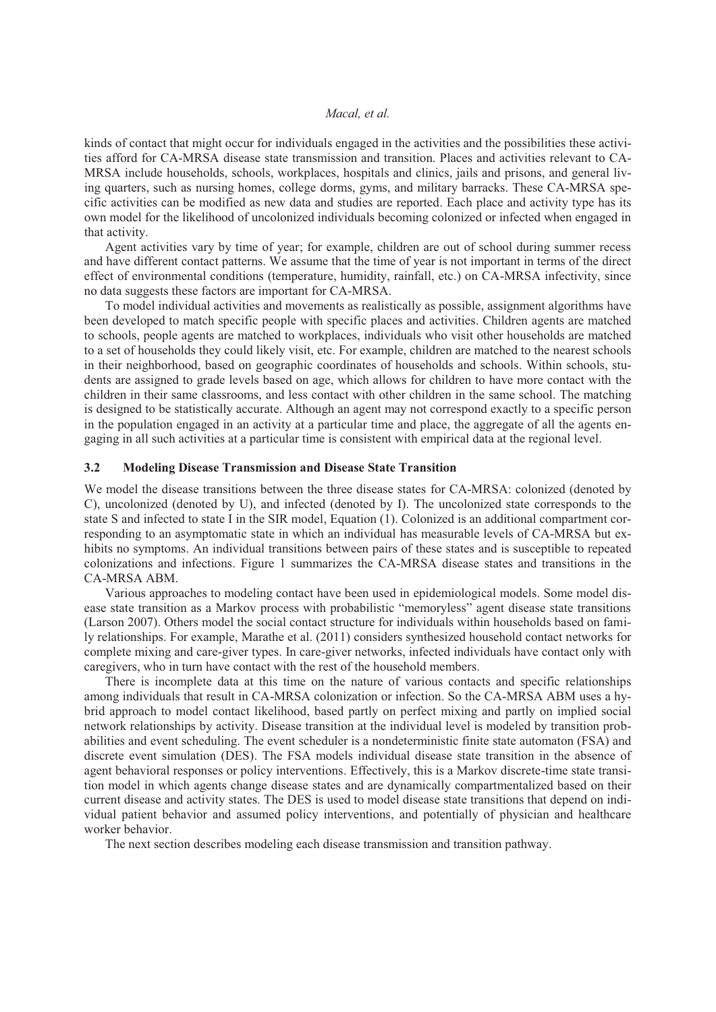kinds of contact that might occur for individuals engaged in the activities and the possibilities these activities afford for CA-MRSA disease state transmission and transition. Places and activities relevant to CA-MRSA include households, schools, workplaces, hospitals and clinics, jails and prisons, and general living quarters, such as nursing homes, college dorms, gyms, and military barracks. These CA-MRSA specific activities can be modified as new data and studies are reported. Each place and activity type has its own model for the likelihood of uncolonized individuals becoming colonized or infected when engaged in that activity.

Agent activities vary by time of year; for example, children are out of school during summer recess and have different contact patterns. We assume that the time of year is not important in terms of the direct effect of environmental conditions (temperature, humidity, rainfall, etc.) on CA-MRSA infectivity, since no data suggests these factors are important for CA-MRSA.

To model individual activities and movements as realistically as possible, assignment algorithms have been developed to match specific people with specific places and activities. Children agents are matched to schools, people agents are matched to workplaces, individuals who visit other households are matched to a set of households they could likely visit, etc. For example, children are matched to the nearest schools in their neighborhood, based on geographic coordinates of households and schools. Within schools, students are assigned to grade levels based on age, which allows for children to have more contact with the children in their same classrooms, and less contact with other children in the same school. The matching is designed to be statistically accurate. Although an agent may not correspond exactly to a specific person in the population engaged in an activity at a particular time and place, the aggregate of all the agents engaging in all such activities at a particular time is consistent with empirical data at the regional level.

#### **3.2 Modeling Disease Transmission and Disease State Transition**

We model the disease transitions between the three disease states for CA-MRSA: colonized (denoted by C), uncolonized (denoted by U), and infected (denoted by I). The uncolonized state corresponds to the state S and infected to state I in the SIR model, Equation (1). Colonized is an additional compartment corresponding to an asymptomatic state in which an individual has measurable levels of CA-MRSA but exhibits no symptoms. An individual transitions between pairs of these states and is susceptible to repeated colonizations and infections. Figure 1 summarizes the CA-MRSA disease states and transitions in the CA-MRSA ABM.

Various approaches to modeling contact have been used in epidemiological models. Some model disease state transition as a Markov process with probabilistic "memoryless" agent disease state transitions (Larson 2007). Others model the social contact structure for individuals within households based on family relationships. For example, Marathe et al. (2011) considers synthesized household contact networks for complete mixing and care-giver types. In care-giver networks, infected individuals have contact only with caregivers, who in turn have contact with the rest of the household members.

There is incomplete data at this time on the nature of various contacts and specific relationships among individuals that result in CA-MRSA colonization or infection. So the CA-MRSA ABM uses a hybrid approach to model contact likelihood, based partly on perfect mixing and partly on implied social network relationships by activity. Disease transition at the individual level is modeled by transition probabilities and event scheduling. The event scheduler is a nondeterministic finite state automaton (FSA) and discrete event simulation (DES). The FSA models individual disease state transition in the absence of agent behavioral responses or policy interventions. Effectively, this is a Markov discrete-time state transition model in which agents change disease states and are dynamically compartmentalized based on their current disease and activity states. The DES is used to model disease state transitions that depend on individual patient behavior and assumed policy interventions, and potentially of physician and healthcare worker behavior.

The next section describes modeling each disease transmission and transition pathway.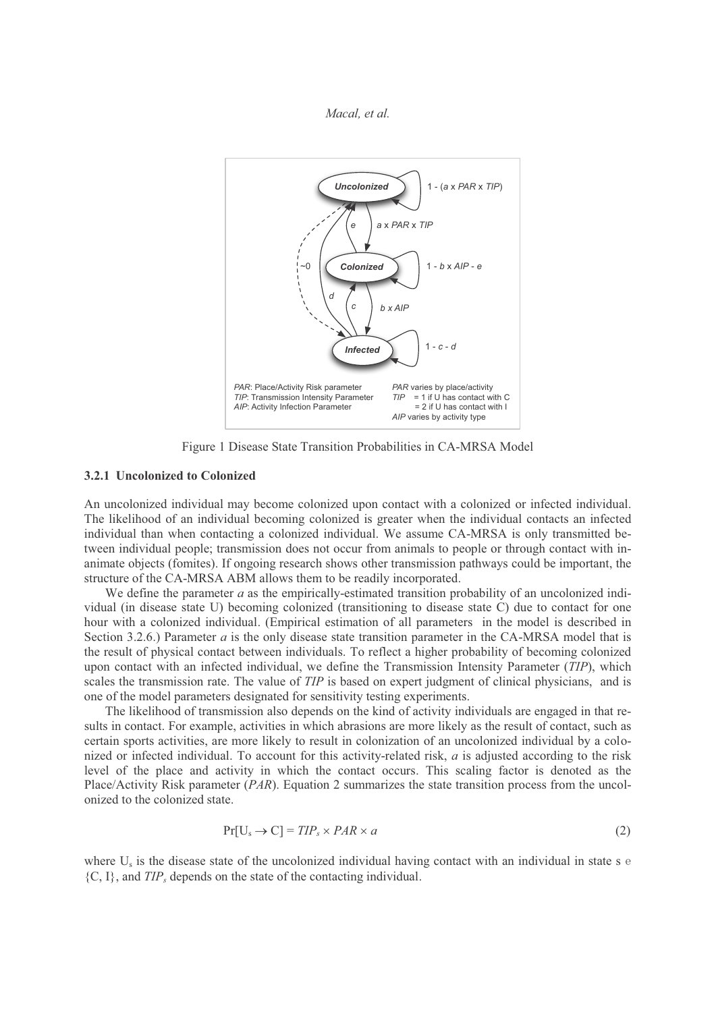

Figure 1 Disease State Transition Probabilities in CA-MRSA Model

#### **3.2.1 Uncolonized to Colonized**

An uncolonized individual may become colonized upon contact with a colonized or infected individual. The likelihood of an individual becoming colonized is greater when the individual contacts an infected individual than when contacting a colonized individual. We assume CA-MRSA is only transmitted between individual people; transmission does not occur from animals to people or through contact with inanimate objects (fomites). If ongoing research shows other transmission pathways could be important, the structure of the CA-MRSA ABM allows them to be readily incorporated.

We define the parameter *a* as the empirically-estimated transition probability of an uncolonized individual (in disease state U) becoming colonized (transitioning to disease state C) due to contact for one hour with a colonized individual. (Empirical estimation of all parameters in the model is described in Section 3.2.6.) Parameter *a* is the only disease state transition parameter in the CA-MRSA model that is the result of physical contact between individuals. To reflect a higher probability of becoming colonized upon contact with an infected individual, we define the Transmission Intensity Parameter (*TIP*), which scales the transmission rate. The value of *TIP* is based on expert judgment of clinical physicians, and is one of the model parameters designated for sensitivity testing experiments.

The likelihood of transmission also depends on the kind of activity individuals are engaged in that results in contact. For example, activities in which abrasions are more likely as the result of contact, such as certain sports activities, are more likely to result in colonization of an uncolonized individual by a colonized or infected individual. To account for this activity-related risk, *a* is adjusted according to the risk level of the place and activity in which the contact occurs. This scaling factor is denoted as the Place/Activity Risk parameter (*PAR*). Equation 2 summarizes the state transition process from the uncolonized to the colonized state.

$$
Pr[U_s \to C] = TIP_s \times PAR \times a \tag{2}
$$

where  $U_s$  is the disease state of the uncolonized individual having contact with an individual in state s  $\acute{e}$  ${C, I}$ , and  $TIP_s$  depends on the state of the contacting individual.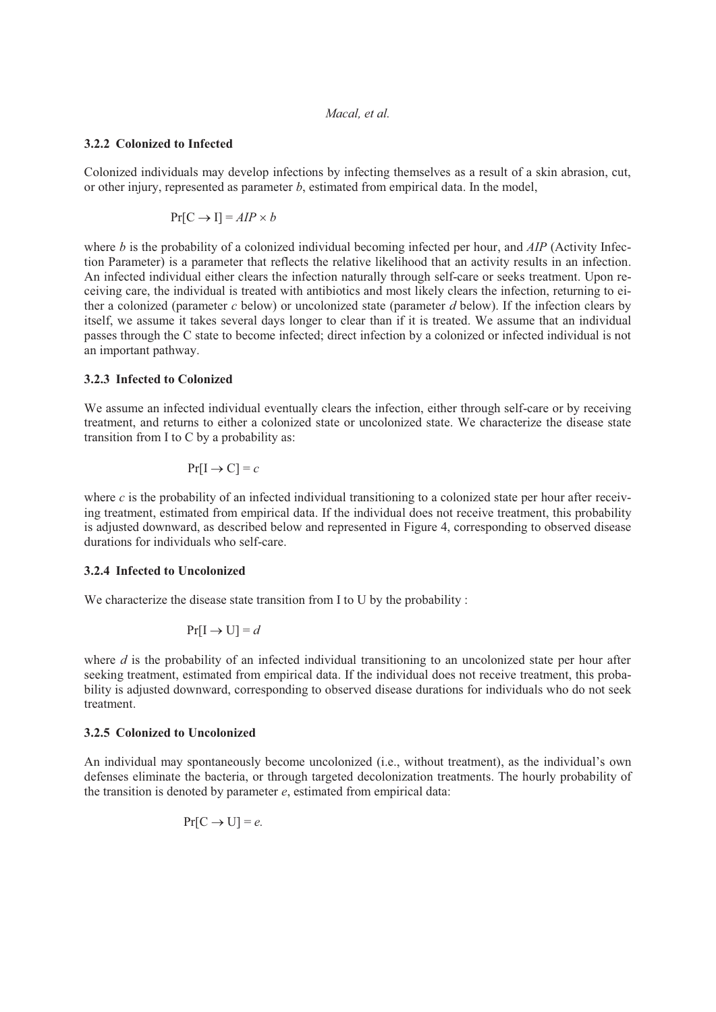## **3.2.2 Colonized to Infected**

Colonized individuals may develop infections by infecting themselves as a result of a skin abrasion, cut, or other injury, represented as parameter *b*, estimated from empirical data. In the model,

$$
Pr[C \to I] = AIP \times b
$$

where *b* is the probability of a colonized individual becoming infected per hour, and *AIP* (Activity Infection Parameter) is a parameter that reflects the relative likelihood that an activity results in an infection. An infected individual either clears the infection naturally through self-care or seeks treatment. Upon receiving care, the individual is treated with antibiotics and most likely clears the infection, returning to either a colonized (parameter *c* below) or uncolonized state (parameter *d* below). If the infection clears by itself, we assume it takes several days longer to clear than if it is treated. We assume that an individual passes through the C state to become infected; direct infection by a colonized or infected individual is not an important pathway.

## **3.2.3 Infected to Colonized**

We assume an infected individual eventually clears the infection, either through self-care or by receiving treatment, and returns to either a colonized state or uncolonized state. We characterize the disease state transition from I to C by a probability as:

$$
\Pr[\mathbf{I} \to \mathbf{C}] = c
$$

where  $c$  is the probability of an infected individual transitioning to a colonized state per hour after receiving treatment, estimated from empirical data. If the individual does not receive treatment, this probability is adjusted downward, as described below and represented in Figure 4, corresponding to observed disease durations for individuals who self-care.

## **3.2.4 Infected to Uncolonized**

We characterize the disease state transition from I to U by the probability :

$$
\Pr[\mathbf{I} \to \mathbf{U}] = d
$$

where *d* is the probability of an infected individual transitioning to an uncolonized state per hour after seeking treatment, estimated from empirical data. If the individual does not receive treatment, this probability is adjusted downward, corresponding to observed disease durations for individuals who do not seek treatment.

### **3.2.5 Colonized to Uncolonized**

An individual may spontaneously become uncolonized (i.e., without treatment), as the individual's own defenses eliminate the bacteria, or through targeted decolonization treatments. The hourly probability of the transition is denoted by parameter *e*, estimated from empirical data:

$$
Pr[C \to U] = e.
$$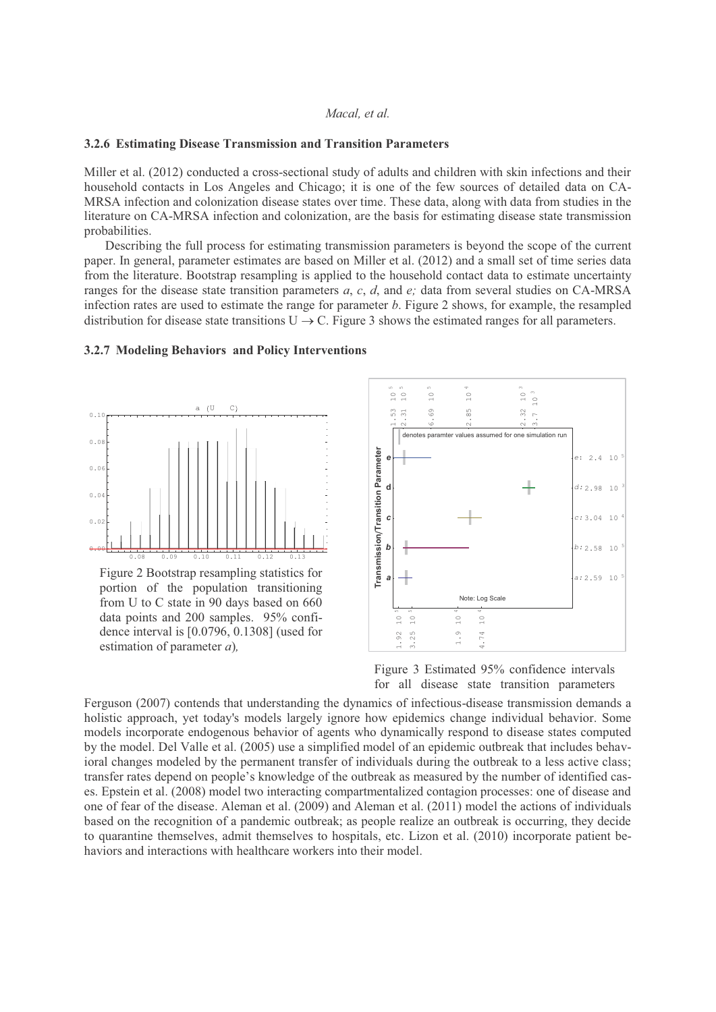#### **3.2.6 Estimating Disease Transmission and Transition Parameters**

Miller et al. (2012) conducted a cross-sectional study of adults and children with skin infections and their household contacts in Los Angeles and Chicago; it is one of the few sources of detailed data on CA-MRSA infection and colonization disease states over time. These data, along with data from studies in the literature on CA-MRSA infection and colonization, are the basis for estimating disease state transmission probabilities.

Describing the full process for estimating transmission parameters is beyond the scope of the current paper. In general, parameter estimates are based on Miller et al. (2012) and a small set of time series data from the literature. Bootstrap resampling is applied to the household contact data to estimate uncertainty ranges for the disease state transition parameters *a*, *c*, *d*, and *e;* data from several studies on CA-MRSA infection rates are used to estimate the range for parameter *b*. Figure 2 shows, for example, the resampled distribution for disease state transitions  $U \rightarrow C$ . Figure 3 shows the estimated ranges for all parameters.

#### **3.2.7 Modeling Behaviors and Policy Interventions**



Figure 2 Bootstrap resampling statistics for portion of the population transitioning from U to C state in 90 days based on 660 data points and 200 samples. 95% confidence interval is [0.0796, 0.1308] (used for estimation of parameter *a*)*,*



Figure 3 Estimated 95% confidence intervals for all disease state transition parameters

Ferguson (2007) contends that understanding the dynamics of infectious-disease transmission demands a holistic approach, yet today's models largely ignore how epidemics change individual behavior. Some models incorporate endogenous behavior of agents who dynamically respond to disease states computed by the model. Del Valle et al. (2005) use a simplified model of an epidemic outbreak that includes behavioral changes modeled by the permanent transfer of individuals during the outbreak to a less active class; transfer rates depend on people's knowledge of the outbreak as measured by the number of identified cases. Epstein et al. (2008) model two interacting compartmentalized contagion processes: one of disease and one of fear of the disease. Aleman et al. (2009) and Aleman et al. (2011) model the actions of individuals based on the recognition of a pandemic outbreak; as people realize an outbreak is occurring, they decide to quarantine themselves, admit themselves to hospitals, etc. Lizon et al. (2010) incorporate patient behaviors and interactions with healthcare workers into their model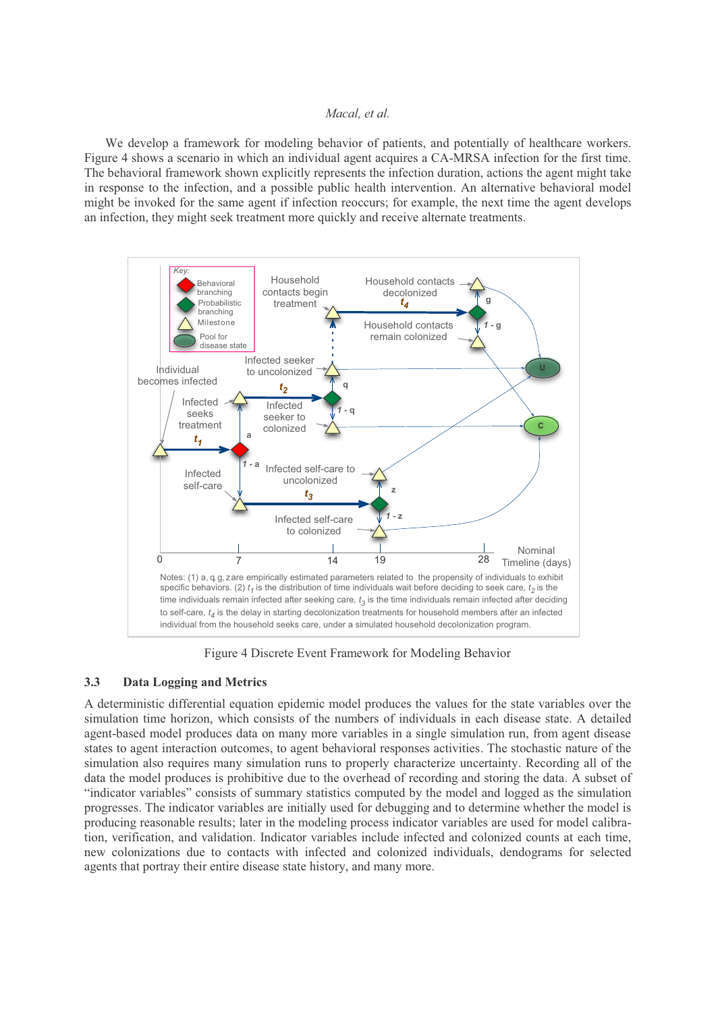We develop a framework for modeling behavior of patients, and potentially of healthcare workers. Figure 4 shows a scenario in which an individual agent acquires a CA-MRSA infection for the first time. The behavioral framework shown explicitly represents the infection duration, actions the agent might take in response to the infection, and a possible public health intervention. An alternative behavioral model might be invoked for the same agent if infection reoccurs; for example, the next time the agent develops an infection, they might seek treatment more quickly and receive alternate treatments.



Figure 4 Discrete Event Framework for Modeling Behavior

### **3.3 Data Logging and Metrics**

A deterministic differential equation epidemic model produces the values for the state variables over the simulation time horizon, which consists of the numbers of individuals in each disease state. A detailed agent-based model produces data on many more variables in a single simulation run, from agent disease states to agent interaction outcomes, to agent behavioral responses activities. The stochastic nature of the simulation also requires many simulation runs to properly characterize uncertainty. Recording all of the data the model produces is prohibitive due to the overhead of recording and storing the data. A subset of "indicator variables" consists of summary statistics computed by the model and logged as the simulation progresses. The indicator variables are initially used for debugging and to determine whether the model is producing reasonable results; later in the modeling process indicator variables are used for model calibration, verification, and validation. Indicator variables include infected and colonized counts at each time, new colonizations due to contacts with infected and colonized individuals, dendograms for selected agents that portray their entire disease state history, and many more.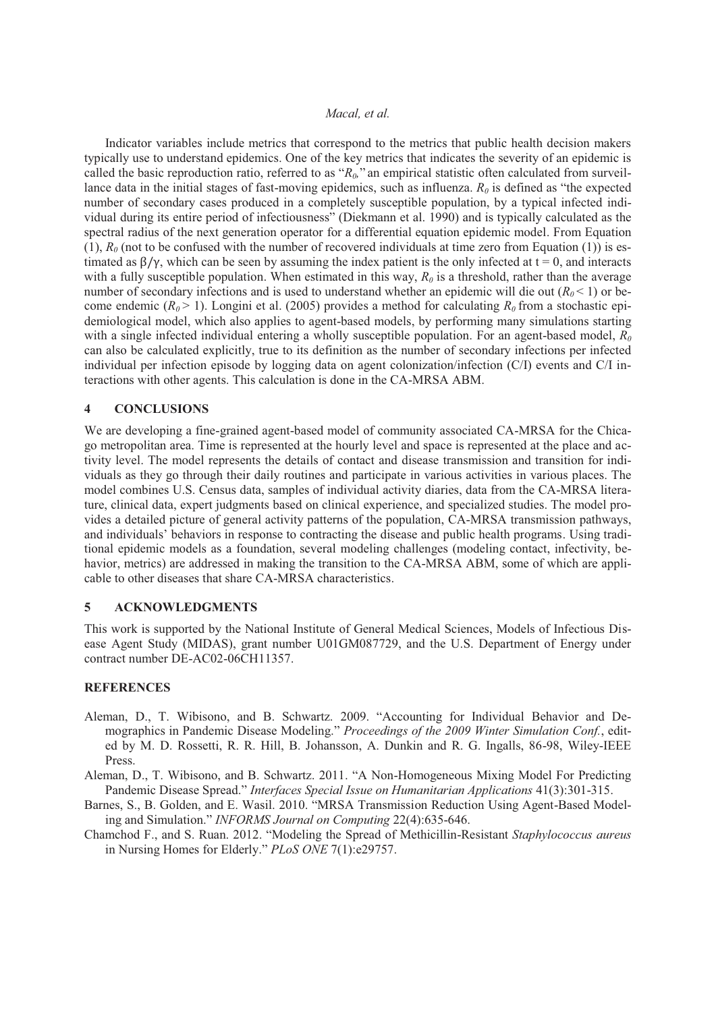Indicator variables include metrics that correspond to the metrics that public health decision makers typically use to understand epidemics. One of the key metrics that indicates the severity of an epidemic is called the basic reproduction ratio, referred to as " $R_0$ ," an empirical statistic often calculated from surveillance data in the initial stages of fast-moving epidemics, such as influenza.  $R_0$  is defined as "the expected number of secondary cases produced in a completely susceptible population, by a typical infected individual during its entire period of infectiousness" (Diekmann et al. 1990) and is typically calculated as the spectral radius of the next generation operator for a differential equation epidemic model. From Equation (1),  $R_0$  (not to be confused with the number of recovered individuals at time zero from Equation (1)) is estimated as  $\beta/\gamma$ , which can be seen by assuming the index patient is the only infected at  $t = 0$ , and interacts with a fully susceptible population. When estimated in this way,  $R_0$  is a threshold, rather than the average number of secondary infections and is used to understand whether an epidemic will die out  $(R_0 < 1)$  or become endemic  $(R_0 > 1)$ . Longini et al. (2005) provides a method for calculating  $R_0$  from a stochastic epidemiological model, which also applies to agent-based models, by performing many simulations starting with a single infected individual entering a wholly susceptible population. For an agent-based model,  $R_0$ can also be calculated explicitly, true to its definition as the number of secondary infections per infected individual per infection episode by logging data on agent colonization/infection (C/I) events and C/I interactions with other agents. This calculation is done in the CA-MRSA ABM.

### **4 CONCLUSIONS**

We are developing a fine-grained agent-based model of community associated CA-MRSA for the Chicago metropolitan area. Time is represented at the hourly level and space is represented at the place and activity level. The model represents the details of contact and disease transmission and transition for individuals as they go through their daily routines and participate in various activities in various places. The model combines U.S. Census data, samples of individual activity diaries, data from the CA-MRSA literature, clinical data, expert judgments based on clinical experience, and specialized studies. The model provides a detailed picture of general activity patterns of the population, CA-MRSA transmission pathways, and individuals' behaviors in response to contracting the disease and public health programs. Using traditional epidemic models as a foundation, several modeling challenges (modeling contact, infectivity, behavior, metrics) are addressed in making the transition to the CA-MRSA ABM, some of which are applicable to other diseases that share CA-MRSA characteristics.

### **5 ACKNOWLEDGMENTS**

This work is supported by the National Institute of General Medical Sciences, Models of Infectious Disease Agent Study (MIDAS), grant number U01GM087729, and the U.S. Department of Energy under contract number DE-AC02-06CH11357.

### **REFERENCES**

- Aleman, D., T. Wibisono, and B. Schwartz. 2009. "Accounting for Individual Behavior and Demographics in Pandemic Disease Modeling." *Proceedings of the 2009 Winter Simulation Conf.*, edited by M. D. Rossetti, R. R. Hill, B. Johansson, A. Dunkin and R. G. Ingalls, 86-98, Wiley-IEEE Press.
- Aleman, D., T. Wibisono, and B. Schwartz. 2011. "A Non-Homogeneous Mixing Model For Predicting Pandemic Disease Spread." *Interfaces Special Issue on Humanitarian Applications* 41(3):301-315.
- Barnes, S., B. Golden, and E. Wasil. 2010. "MRSA Transmission Reduction Using Agent-Based Modeling and Simulation." *INFORMS Journal on Computing* 22(4):635-646.
- Chamchod F., and S. Ruan. 2012. "Modeling the Spread of Methicillin-Resistant *Staphylococcus aureus* in Nursing Homes for Elderly." *PLoS ONE* 7(1):e29757.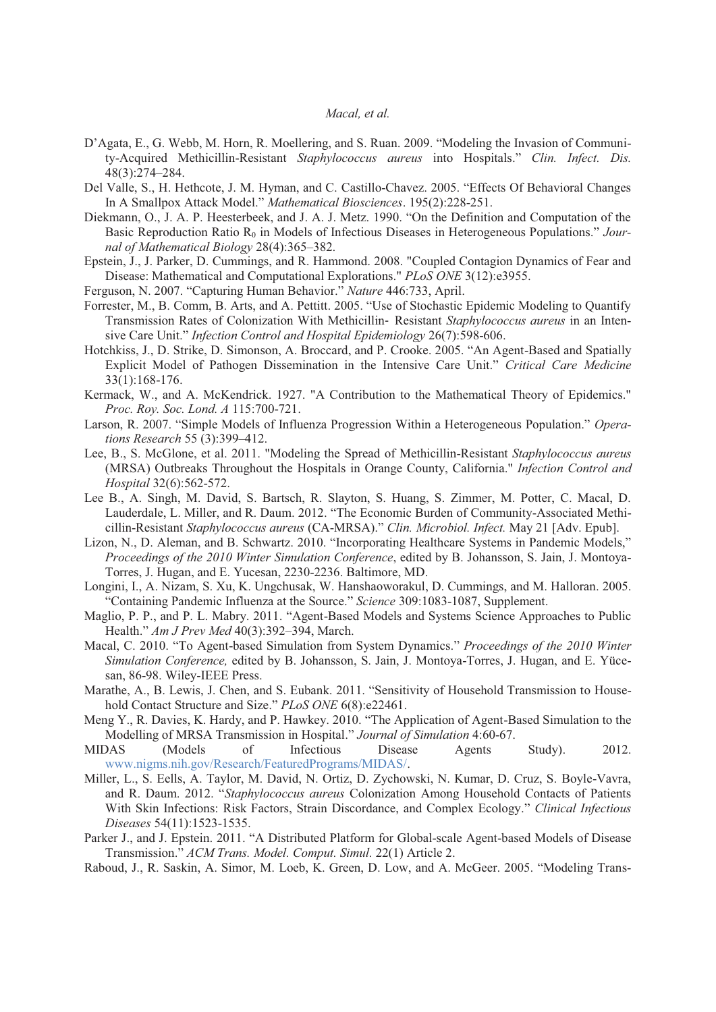- D'Agata, E., G. Webb, M. Horn, R. Moellering, and S. Ruan. 2009. "Modeling the Invasion of Community-Acquired Methicillin-Resistant *Staphylococcus aureus* into Hospitals." *Clin. Infect. Dis.* 48(3):274–284.
- Del Valle, S., H. Hethcote, J. M. Hyman, and C. Castillo-Chavez. 2005. "Effects Of Behavioral Changes In A Smallpox Attack Model." *Mathematical Biosciences*. 195(2):228-251.
- Diekmann, O., J. A. P. Heesterbeek, and J. A. J. Metz. 1990. "On the Definition and Computation of the Basic Reproduction Ratio R<sub>0</sub> in Models of Infectious Diseases in Heterogeneous Populations." *Journal of Mathematical Biology* 28(4):365–382.
- Epstein, J., J. Parker, D. Cummings, and R. Hammond. 2008. "Coupled Contagion Dynamics of Fear and Disease: Mathematical and Computational Explorations." *PLoS ONE* 3(12):e3955.
- Ferguson, N. 2007. "Capturing Human Behavior." *Nature* 446:733, April.
- Forrester, M., B. Comm, B. Arts, and A. Pettitt. 2005. "Use of Stochastic Epidemic Modeling to Quantify Transmission Rates of Colonization With Methicillin- Resistant *Staphylococcus aureus* in an Intensive Care Unit." *Infection Control and Hospital Epidemiology* 26(7):598-606.
- Hotchkiss, J., D. Strike, D. Simonson, A. Broccard, and P. Crooke. 2005. "An Agent-Based and Spatially Explicit Model of Pathogen Dissemination in the Intensive Care Unit." *Critical Care Medicine* 33(1):168-176.
- Kermack, W., and A. McKendrick. 1927. "A Contribution to the Mathematical Theory of Epidemics." *Proc. Roy. Soc. Lond. A* 115:700-721.
- Larson, R. 2007. "Simple Models of Influenza Progression Within a Heterogeneous Population." *Operations Research* 55 (3):399–412.
- Lee, B., S. McGlone, et al. 2011. "Modeling the Spread of Methicillin-Resistant *Staphylococcus aureus* (MRSA) Outbreaks Throughout the Hospitals in Orange County, California." *Infection Control and Hospital* 32(6):562-572.
- Lee B., A. Singh, M. David, S. Bartsch, R. Slayton, S. Huang, S. Zimmer, M. Potter, C. Macal, D. Lauderdale, L. Miller, and R. Daum. 2012. "The Economic Burden of Community-Associated Methicillin-Resistant *Staphylococcus aureus* (CA-MRSA)." *Clin. Microbiol. Infect.* May 21 [Adv. Epub].
- Lizon, N., D. Aleman, and B. Schwartz. 2010. "Incorporating Healthcare Systems in Pandemic Models," *Proceedings of the 2010 Winter Simulation Conference*, edited by B. Johansson, S. Jain, J. Montoya-Torres, J. Hugan, and E. Yucesan, 2230-2236. Baltimore, MD.
- Longini, I., A. Nizam, S. Xu, K. Ungchusak, W. Hanshaoworakul, D. Cummings, and M. Halloran. 2005. "Containing Pandemic Influenza at the Source." *Science* 309:1083-1087, Supplement.
- Maglio, P. P., and P. L. Mabry. 2011. "Agent-Based Models and Systems Science Approaches to Public Health." *Am J Prev Med* 40(3):392–394, March.
- Macal, C. 2010. "To Agent-based Simulation from System Dynamics." *Proceedings of the 2010 Winter Simulation Conference,* edited by B. Johansson, S. Jain, J. Montoya-Torres, J. Hugan, and E. Yücesan, 86-98. Wiley-IEEE Press.
- Marathe, A., B. Lewis, J. Chen, and S. Eubank. 2011. "Sensitivity of Household Transmission to Household Contact Structure and Size." *PLoS ONE* 6(8):e22461.
- Meng Y., R. Davies, K. Hardy, and P. Hawkey. 2010. "The Application of Agent-Based Simulation to the Modelling of MRSA Transmission in Hospital." *Journal of Simulation* 4:60-67.
- MIDAS (Models of Infectious Disease Agents Study). 2012. www.nigms.nih.gov/Research/FeaturedPrograms/MIDAS/.
- Miller, L., S. Eells, A. Taylor, M. David, N. Ortiz, D. Zychowski, N. Kumar, D. Cruz, S. Boyle-Vavra, and R. Daum. 2012. "*Staphylococcus aureus* Colonization Among Household Contacts of Patients With Skin Infections: Risk Factors, Strain Discordance, and Complex Ecology." *Clinical Infectious Diseases* 54(11):1523-1535.
- Parker J., and J. Epstein. 2011. "A Distributed Platform for Global-scale Agent-based Models of Disease Transmission." *ACM Trans. Model. Comput. Simul.* 22(1) Article 2.
- Raboud, J., R. Saskin, A. Simor, M. Loeb, K. Green, D. Low, and A. McGeer. 2005. "Modeling Trans-